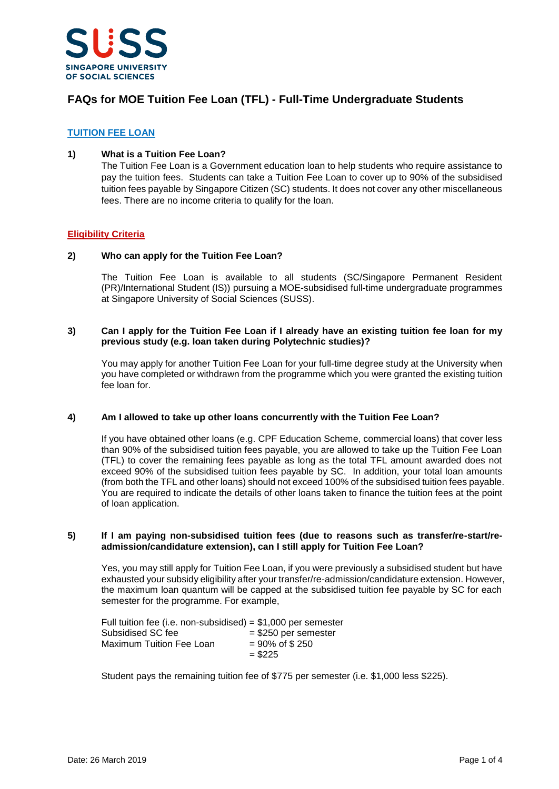

# **FAQs for MOE Tuition Fee Loan (TFL) - Full-Time Undergraduate Students**

## **TUITION FEE LOAN**

## **1) What is a Tuition Fee Loan?**

The Tuition Fee Loan is a Government education loan to help students who require assistance to pay the tuition fees. Students can take a Tuition Fee Loan to cover up to 90% of the subsidised tuition fees payable by Singapore Citizen (SC) students. It does not cover any other miscellaneous fees. There are no income criteria to qualify for the loan.

## **Eligibility Criteria**

## **2) Who can apply for the Tuition Fee Loan?**

The Tuition Fee Loan is available to all students (SC/Singapore Permanent Resident (PR)/International Student (IS)) pursuing a MOE-subsidised full-time undergraduate programmes at Singapore University of Social Sciences (SUSS).

#### **3) Can I apply for the Tuition Fee Loan if I already have an existing tuition fee loan for my previous study (e.g. loan taken during Polytechnic studies)?**

You may apply for another Tuition Fee Loan for your full-time degree study at the University when you have completed or withdrawn from the programme which you were granted the existing tuition fee loan for.

#### **4) Am I allowed to take up other loans concurrently with the Tuition Fee Loan?**

If you have obtained other loans (e.g. CPF Education Scheme, commercial loans) that cover less than 90% of the subsidised tuition fees payable, you are allowed to take up the Tuition Fee Loan (TFL) to cover the remaining fees payable as long as the total TFL amount awarded does not exceed 90% of the subsidised tuition fees payable by SC. In addition, your total loan amounts (from both the TFL and other loans) should not exceed 100% of the subsidised tuition fees payable. You are required to indicate the details of other loans taken to finance the tuition fees at the point of loan application.

#### **5) If I am paying non-subsidised tuition fees (due to reasons such as transfer/re-start/readmission/candidature extension), can I still apply for Tuition Fee Loan?**

Yes, you may still apply for Tuition Fee Loan, if you were previously a subsidised student but have exhausted your subsidy eligibility after your transfer/re-admission/candidature extension. However, the maximum loan quantum will be capped at the subsidised tuition fee payable by SC for each semester for the programme. For example,

| Full tuition fee (i.e. non-subsidised) = $$1,000$ per semester |                           |
|----------------------------------------------------------------|---------------------------|
| Subsidised SC fee                                              | $=$ \$250 per semester    |
| Maximum Tuition Fee Loan                                       | $= 90\% \text{ of } $250$ |
|                                                                | $=$ \$225                 |

Student pays the remaining tuition fee of \$775 per semester (i.e. \$1,000 less \$225).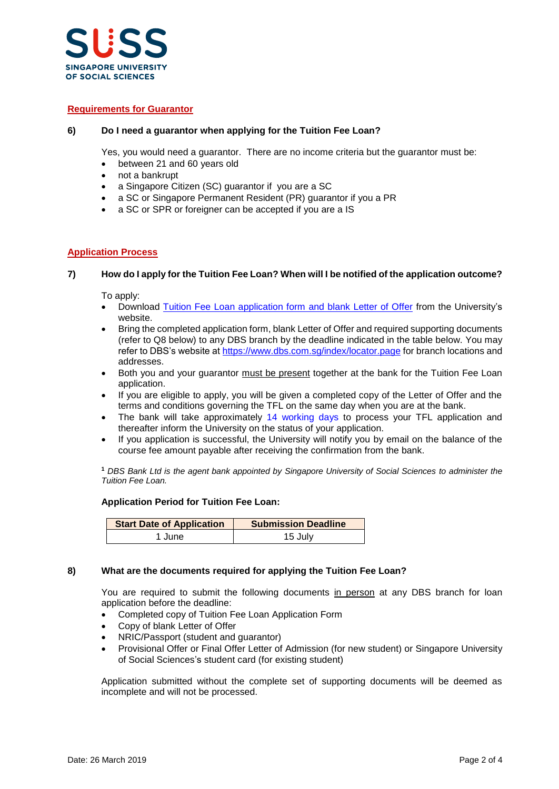

## **Requirements for Guarantor**

## **6) Do I need a guarantor when applying for the Tuition Fee Loan?**

Yes, you would need a guarantor. There are no income criteria but the guarantor must be:

- between 21 and 60 years old
- not a bankrupt
- a Singapore Citizen (SC) guarantor if you are a SC
- a SC or Singapore Permanent Resident (PR) guarantor if you a PR
- a SC or SPR or foreigner can be accepted if you are a IS

# **Application Process**

## **7) How do I apply for the Tuition Fee Loan? When will I be notified of the application outcome?**

To apply:

- Download [Tuition Fee Loan application form](https://www.suss.edu.sg/docs/default-source/contentdoc/sa/ft-tflapplicationform.pdf) and blank Letter of Offer from the University's website.
- Bring the completed application form, blank Letter of Offer and required supporting documents (refer to Q8 below) to any DBS branch by the deadline indicated in the table below. You may refer to DBS's website at<https://www.dbs.com.sg/index/locator.page> for branch locations and addresses.
- Both you and your guarantor must be present together at the bank for the Tuition Fee Loan application.
- If you are eligible to apply, you will be given a completed copy of the Letter of Offer and the terms and conditions governing the TFL on the same day when you are at the bank.
- The bank will take approximately 14 working days to process your TFL application and thereafter inform the University on the status of your application.
- If you application is successful, the University will notify you by email on the balance of the course fee amount payable after receiving the confirmation from the bank.

**<sup>1</sup>** *DBS Bank Ltd is the agent bank appointed by Singapore University of Social Sciences to administer the Tuition Fee Loan.*

#### **Application Period for Tuition Fee Loan:**

| <b>Start Date of Application</b> | <b>Submission Deadline</b> |
|----------------------------------|----------------------------|
| 1 June                           | 15 July                    |

#### **8) What are the documents required for applying the Tuition Fee Loan?**

You are required to submit the following documents in person at any DBS branch for loan application before the deadline:

- Completed copy of Tuition Fee Loan Application Form
- Copy of blank Letter of Offer
- NRIC/Passport (student and guarantor)
- Provisional Offer or Final Offer Letter of Admission (for new student) or Singapore University of Social Sciences's student card (for existing student)

Application submitted without the complete set of supporting documents will be deemed as incomplete and will not be processed.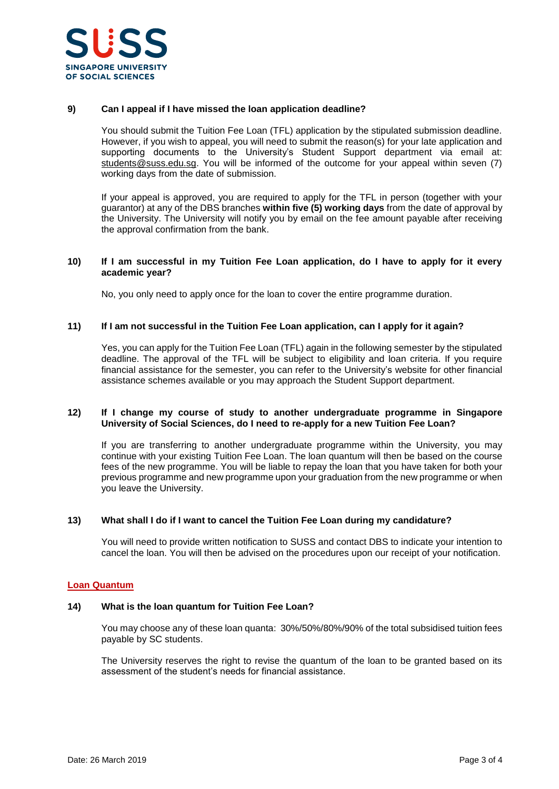

## **9) Can I appeal if I have missed the loan application deadline?**

You should submit the Tuition Fee Loan (TFL) application by the stipulated submission deadline. However, if you wish to appeal, you will need to submit the reason(s) for your late application and supporting documents to the University's Student Support department via email at: [students@suss.edu.sg.](mailto:students@suss.edu.sg) You will be informed of the outcome for your appeal within seven (7) working days from the date of submission.

If your appeal is approved, you are required to apply for the TFL in person (together with your guarantor) at any of the DBS branches **within five (5) working days** from the date of approval by the University. The University will notify you by email on the fee amount payable after receiving the approval confirmation from the bank.

## **10) If I am successful in my Tuition Fee Loan application, do I have to apply for it every academic year?**

No, you only need to apply once for the loan to cover the entire programme duration.

#### **11) If I am not successful in the Tuition Fee Loan application, can I apply for it again?**

Yes, you can apply for the Tuition Fee Loan (TFL) again in the following semester by the stipulated deadline. The approval of the TFL will be subject to eligibility and loan criteria. If you require financial assistance for the semester, you can refer to the University's website for other financial assistance schemes available or you may approach the Student Support department.

#### **12) If I change my course of study to another undergraduate programme in Singapore University of Social Sciences, do I need to re-apply for a new Tuition Fee Loan?**

If you are transferring to another undergraduate programme within the University, you may continue with your existing Tuition Fee Loan. The loan quantum will then be based on the course fees of the new programme. You will be liable to repay the loan that you have taken for both your previous programme and new programme upon your graduation from the new programme or when you leave the University.

#### **13) What shall I do if I want to cancel the Tuition Fee Loan during my candidature?**

You will need to provide written notification to SUSS and contact DBS to indicate your intention to cancel the loan. You will then be advised on the procedures upon our receipt of your notification.

#### **Loan Quantum**

#### **14) What is the loan quantum for Tuition Fee Loan?**

You may choose any of these loan quanta: 30%/50%/80%/90% of the total subsidised tuition fees payable by SC students.

The University reserves the right to revise the quantum of the loan to be granted based on its assessment of the student's needs for financial assistance.